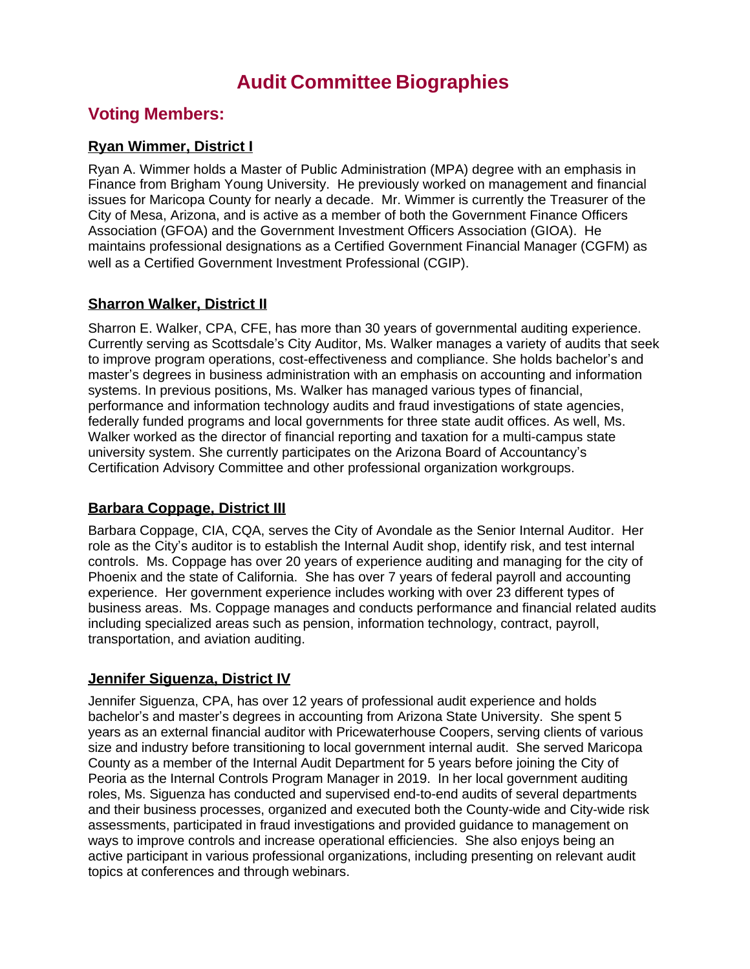# **Audit Committee Biographies**

## **Voting Members:**

### **Ryan Wimmer, District I**

Ryan A. Wimmer holds a Master of Public Administration (MPA) degree with an emphasis in Finance from Brigham Young University. He previously worked on management and financial issues for Maricopa County for nearly a decade. Mr. Wimmer is currently the Treasurer of the City of Mesa, Arizona, and is active as a member of both the Government Finance Officers Association (GFOA) and the Government Investment Officers Association (GIOA). He maintains professional designations as a Certified Government Financial Manager (CGFM) as well as a Certified Government Investment Professional (CGIP).

#### **Sharron Walker, District II**

Sharron E. Walker, CPA, CFE, has more than 30 years of governmental auditing experience. Currently serving as Scottsdale's City Auditor, Ms. Walker manages a variety of audits that seek to improve program operations, cost-effectiveness and compliance. She holds bachelor's and master's degrees in business administration with an emphasis on accounting and information systems. In previous positions, Ms. Walker has managed various types of financial, performance and information technology audits and fraud investigations of state agencies, federally funded programs and local governments for three state audit offices. As well, Ms. Walker worked as the director of financial reporting and taxation for a multi-campus state university system. She currently participates on the Arizona Board of Accountancy's Certification Advisory Committee and other professional organization workgroups.

## **Barbara Coppage, District III**

Barbara Coppage, CIA, CQA, serves the City of Avondale as the Senior Internal Auditor. Her role as the City's auditor is to establish the Internal Audit shop, identify risk, and test internal controls. Ms. Coppage has over 20 years of experience auditing and managing for the city of Phoenix and the state of California. She has over 7 years of federal payroll and accounting experience. Her government experience includes working with over 23 different types of business areas. Ms. Coppage manages and conducts performance and financial related audits including specialized areas such as pension, information technology, contract, payroll, transportation, and aviation auditing.

## **Jennifer Siguenza, District IV**

Jennifer Siguenza, CPA, has over 12 years of professional audit experience and holds bachelor's and master's degrees in accounting from Arizona State University. She spent 5 years as an external financial auditor with Pricewaterhouse Coopers, serving clients of various size and industry before transitioning to local government internal audit. She served Maricopa County as a member of the Internal Audit Department for 5 years before joining the City of Peoria as the Internal Controls Program Manager in 2019. In her local government auditing roles, Ms. Siguenza has conducted and supervised end-to-end audits of several departments and their business processes, organized and executed both the County-wide and City-wide risk assessments, participated in fraud investigations and provided guidance to management on ways to improve controls and increase operational efficiencies. She also enjoys being an active participant in various professional organizations, including presenting on relevant audit topics at conferences and through webinars.